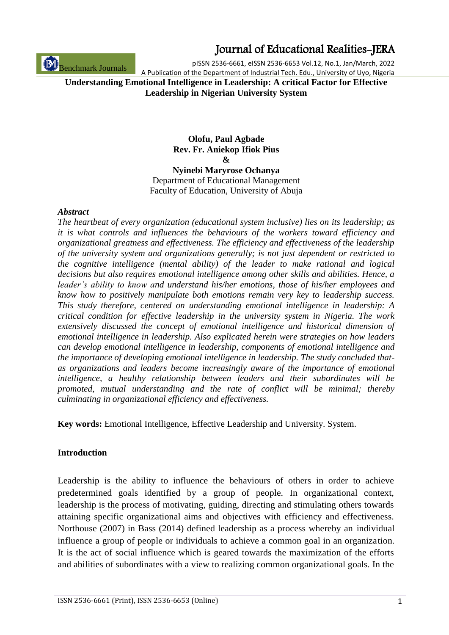Benchmark Journals

### Journal of Educational Realities-JERA

pISSN 2536-6661, eISSN 2536-6653 Vol.12, No.1, Jan/March, 2022 A Publication of the Department of Industrial Tech. Edu., University of Uyo, Nigeria

**Understanding Emotional Intelligence in Leadership: A critical Factor for Effective Leadership in Nigerian University System**

### **Olofu, Paul Agbade Rev. Fr. Aniekop Ifiok Pius &**

**Nyinebi Maryrose Ochanya** Department of Educational Management Faculty of Education, University of Abuja

#### *Abstract*

*The heartbeat of every organization (educational system inclusive) lies on its leadership; as it is what controls and influences the behaviours of the workers toward efficiency and organizational greatness and effectiveness. The efficiency and effectiveness of the leadership of the university system and organizations generally; is not just dependent or restricted to the cognitive intelligence (mental ability) of the leader to make rational and logical decisions but also requires emotional intelligence among other skills and abilities. Hence, a leader's ability to know and understand his/her emotions, those of his/her employees and know how to positively manipulate both emotions remain very key to leadership success. This study therefore, centered on understanding emotional intelligence in leadership: A critical condition for effective leadership in the university system in Nigeria. The work extensively discussed the concept of emotional intelligence and historical dimension of emotional intelligence in leadership. Also explicated herein were strategies on how leaders can develop emotional intelligence in leadership, components of emotional intelligence and the importance of developing emotional intelligence in leadership. The study concluded thatas organizations and leaders become increasingly aware of the importance of emotional intelligence, a healthy relationship between leaders and their subordinates will be promoted, mutual understanding and the rate of conflict will be minimal; thereby culminating in organizational efficiency and effectiveness.*

**Key words:** Emotional Intelligence, Effective Leadership and University. System.

### **Introduction**

Leadership is the ability to influence the behaviours of others in order to achieve predetermined goals identified by a group of people. In organizational context, leadership is the process of motivating, guiding, directing and stimulating others towards attaining specific organizational aims and objectives with efficiency and effectiveness. Northouse (2007) in Bass (2014) defined leadership as a process whereby an individual influence a group of people or individuals to achieve a common goal in an organization. It is the act of social influence which is geared towards the maximization of the efforts and abilities of subordinates with a view to realizing common organizational goals. In the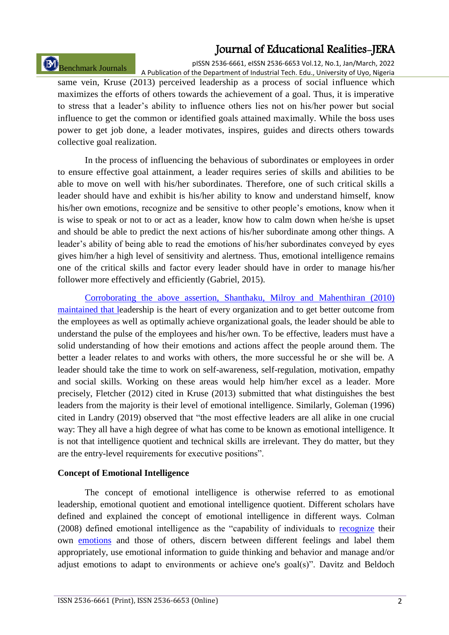# Benchmark Journals

pISSN 2536-6661, eISSN 2536-6653 Vol.12, No.1, Jan/March, 2022 A Publication of the Department of Industrial Tech. Edu., University of Uyo, Nigeria

same vein, Kruse (2013) perceived leadership as a process of social influence which maximizes the efforts of others towards the achievement of a goal. Thus, it is imperative to stress that a leader's ability to influence others lies not on his/her power but social influence to get the common or identified goals attained maximally. While the boss uses power to get job done, a leader motivates, inspires, guides and directs others towards collective goal realization.

In the process of influencing the behavious of subordinates or employees in order to ensure effective goal attainment, a leader requires series of skills and abilities to be able to move on well with his/her subordinates. Therefore, one of such critical skills a leader should have and exhibit is his/her ability to know and understand himself, know his/her own emotions, recognize and be sensitive to other people's emotions, know when it is wise to speak or not to or act as a leader, know how to calm down when he/she is upset and should be able to predict the next actions of his/her subordinate among other things. A leader's ability of being able to read the emotions of his/her subordinates conveyed by eyes gives him/her a high level of sensitivity and alertness. Thus, emotional intelligence remains one of the critical skills and factor every leader should have in order to manage his/her follower more effectively and efficiently (Gabriel, 2015).

Corroborating the above assertion, Shanthaku, Milroy and Mahenthiran (2010) maintained that leadership is the heart of every organization and to get better outcome from the employees as well as optimally achieve organizational goals, the leader should be able to understand the pulse of the employees and his/her own. To be effective, leaders must have a solid understanding of how their emotions and actions affect the people around them. The better a leader relates to and works with others, the more successful he or she will be. A leader should take the time to work on self-awareness, self-regulation, motivation, empathy and social skills. Working on these areas would help him/her excel as a leader. More precisely, Fletcher (2012) cited in Kruse (2013) submitted that what distinguishes the best leaders from the majority is their level of emotional intelligence. Similarly, Goleman (1996) cited in Landry (2019) observed that "the most effective leaders are all alike in one crucial way: They all have a high degree of what has come to be known as emotional intelligence. It is not that intelligence quotient and technical skills are irrelevant. They do matter, but they are the entry-level requirements for executive positions".

### **Concept of Emotional Intelligence**

The concept of emotional intelligence is otherwise referred to as emotional leadership, emotional quotient and emotional intelligence quotient. Different scholars have defined and explained the concept of emotional intelligence in different ways. Colman (2008) defined emotional intelligence as the "capability of individuals to [recognize](https://en.wikipedia.org/wiki/Emotion_recognition) their own [emotions](https://en.wikipedia.org/wiki/Emotions) and those of others, discern between different feelings and label them appropriately, use emotional information to guide thinking and behavior and manage and/or adjust emotions to adapt to environments or achieve one's goal(s)". Davitz and Beldoch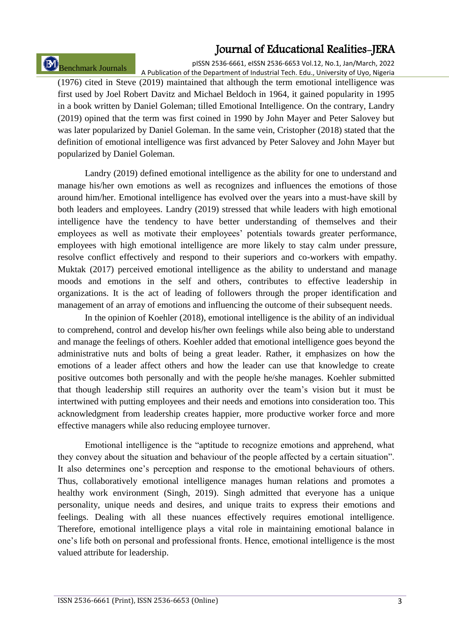# Benchmark Journals

pISSN 2536-6661, eISSN 2536-6653 Vol.12, No.1, Jan/March, 2022 A Publication of the Department of Industrial Tech. Edu., University of Uyo, Nigeria

(1976) cited in Steve (2019) maintained that although the term emotional intelligence was first used by Joel Robert Davitz and Michael Beldoch in 1964, it gained popularity in 1995 in a book written by Daniel Goleman; tilled Emotional Intelligence. On the contrary, Landry (2019) opined that the term was first coined in 1990 by John Mayer and Peter Salovey but was later popularized by Daniel Goleman. In the same vein, Cristopher (2018) stated that the definition of emotional intelligence was first advanced by Peter Salovey and John Mayer but popularized by Daniel Goleman.

Landry (2019) defined emotional intelligence as the ability for one to understand and manage his/her own emotions as well as recognizes and influences the emotions of those around him/her. Emotional intelligence has evolved over the years into a must-have skill by both leaders and employees. Landry (2019) stressed that while leaders with high emotional intelligence have the tendency to have better understanding of themselves and their employees as well as motivate their employees' potentials towards greater performance, employees with high emotional intelligence are more likely to stay calm under pressure, resolve conflict effectively and respond to their superiors and co-workers with empathy. Muktak (2017) perceived emotional intelligence as the ability to understand and manage moods and emotions in the self and others, contributes to effective leadership in organizations. It is the act of leading of followers through the proper identification and management of an array of emotions and influencing the outcome of their subsequent needs.

In the opinion of Koehler (2018), emotional intelligence is the ability of an individual to comprehend, control and develop his/her own feelings while also being able to understand and manage the feelings of others. Koehler added that emotional intelligence goes beyond the administrative nuts and bolts of being a great leader. Rather, it emphasizes on how the emotions of a leader affect others and how the leader can use that knowledge to create positive outcomes both personally and with the people he/she manages. Koehler submitted that though leadership still requires an authority over the team's vision but it must be intertwined with putting employees and their needs and emotions into consideration too. This acknowledgment from leadership creates happier, more productive worker force and more effective managers while also reducing employee turnover.

Emotional intelligence is the "aptitude to recognize emotions and apprehend, what they convey about the situation and behaviour of the people affected by a certain situation". It also determines one's perception and response to the emotional behaviours of others. Thus, collaboratively emotional intelligence manages human relations and promotes a healthy work environment (Singh, 2019). Singh admitted that everyone has a unique personality, unique needs and desires, and unique traits to express their emotions and feelings. Dealing with all these nuances effectively requires emotional intelligence. Therefore, emotional intelligence plays a vital role in maintaining emotional balance in one's life both on personal and professional fronts. Hence, emotional intelligence is the most valued attribute for leadership.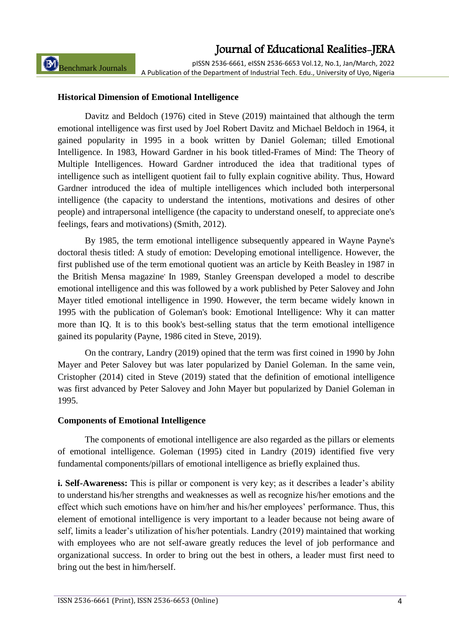Benchmark Journals

pISSN 2536-6661, eISSN 2536-6653 Vol.12, No.1, Jan/March, 2022 A Publication of the Department of Industrial Tech. Edu., University of Uyo, Nigeria

### **Historical Dimension of Emotional Intelligence**

Davitz and Beldoch (1976) cited in Steve (2019) maintained that although the term emotional intelligence was first used by Joel Robert Davitz and Michael Beldoch in 1964, it gained popularity in 1995 in a book written by Daniel Goleman; tilled Emotional Intelligence. In 1983, Howard Gardner in his book titled-Frames of Mind: The Theory of Multiple Intelligences. Howard Gardner introduced the idea that traditional types of intelligence such as intelligent quotient fail to fully explain cognitive ability. Thus, Howard Gardner introduced the idea of multiple intelligences which included both interpersonal intelligence (the capacity to understand the intentions, motivations and desires of other people) and intrapersonal intelligence (the capacity to understand oneself, to appreciate one's feelings, fears and motivations) (Smith, 2012).

By 1985, the term emotional intelligence subsequently appeared in Wayne Payne's doctoral thesis titled: A study of emotion: Developing emotional intelligence. However, the first published use of the term emotional quotient was an article by Keith Beasley in 1987 in the British Mensa magazine**.** In 1989, Stanley Greenspan developed a model to describe emotional intelligence and this was followed by a work published by Peter Salovey and John Mayer titled emotional intelligence in 1990. However, the term became widely known in 1995 with the publication of Goleman's book: Emotional Intelligence: Why it can matter more than IQ. It is to this book's best-selling status that the term emotional intelligence gained its popularity (Payne, 1986 cited in Steve, 2019).

On the contrary, Landry (2019) opined that the term was first coined in 1990 by John Mayer and Peter Salovey but was later popularized by Daniel Goleman. In the same vein, Cristopher (2014) cited in Steve (2019) stated that the definition of emotional intelligence was first advanced by Peter Salovey and John Mayer but popularized by Daniel Goleman in 1995.

#### **Components of Emotional Intelligence**

The components of emotional intelligence are also regarded as the pillars or elements of emotional intelligence. Goleman (1995) cited in Landry (2019) identified five very fundamental components/pillars of emotional intelligence as briefly explained thus.

**i. Self-Awareness:** This is pillar or component is very key; as it describes a leader's ability to understand his/her strengths and weaknesses as well as recognize his/her emotions and the effect which such emotions have on him/her and his/her employees' performance. Thus, this element of emotional intelligence is very important to a leader because not being aware of self, limits a leader's utilization of his/her potentials. Landry (2019) maintained that working with employees who are not self-aware greatly reduces the level of job performance and organizational success. In order to bring out the best in others, a leader must first need to bring out the best in him/herself.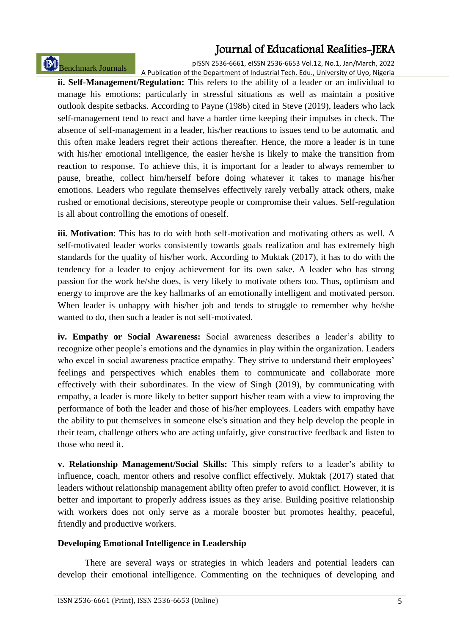# Benchmark Journals

pISSN 2536-6661, eISSN 2536-6653 Vol.12, No.1, Jan/March, 2022 A Publication of the Department of Industrial Tech. Edu., University of Uyo, Nigeria

**ii. Self-Management/Regulation:** This refers to the ability of a leader or an individual to manage his emotions; particularly in stressful situations as well as maintain a positive outlook despite setbacks. According to Payne (1986) cited in Steve (2019), leaders who lack self-management tend to react and have a harder time keeping their impulses in check. The absence of self-management in a leader, his/her reactions to issues tend to be automatic and this often make leaders regret their actions thereafter. Hence, the more a leader is in tune with his/her emotional intelligence, the easier he/she is likely to make the transition from reaction to response. To achieve this, it is important for a leader to always remember to pause, breathe, collect him/herself before doing whatever it takes to manage his/her emotions. Leaders who regulate themselves effectively rarely verbally attack others, make rushed or emotional decisions, stereotype people or compromise their values. Self-regulation is all about controlling the emotions of oneself.

**iii. Motivation**: This has to do with both self-motivation and motivating others as well. A self-motivated leader works consistently towards goals realization and has extremely high standards for the quality of his/her work. According to Muktak (2017), it has to do with the tendency for a leader to enjoy achievement for its own sake. A leader who has strong passion for the work he/she does, is very likely to motivate others too. Thus, optimism and energy to improve are the key hallmarks of an emotionally intelligent and motivated person. When leader is unhappy with his/her job and tends to struggle to remember why he/she wanted to do, then such a leader is not self-motivated.

**iv. Empathy or Social Awareness:** Social awareness describes a leader's ability to recognize other people's emotions and the dynamics in play within the organization. Leaders who excel in social awareness practice empathy. They strive to understand their employees' feelings and perspectives which enables them to communicate and collaborate more effectively with their subordinates. In the view of Singh (2019), by communicating with empathy, a leader is more likely to better support his/her team with a view to improving the performance of both the leader and those of his/her employees. Leaders with empathy have the ability to put themselves in someone else's situation and they help develop the people in their team, challenge others who are acting unfairly, give constructive feedback and listen to those who need it.

**v. Relationship Management/Social Skills:** This simply refers to a leader's ability to influence, coach, mentor others and resolve conflict effectively. Muktak (2017) stated that leaders without relationship management ability often prefer to avoid conflict. However, it is better and important to properly address issues as they arise. Building positive relationship with workers does not only serve as a morale booster but promotes healthy, peaceful, friendly and productive workers.

### **Developing Emotional Intelligence in Leadership**

There are several ways or strategies in which leaders and potential leaders can develop their emotional intelligence. Commenting on the techniques of developing and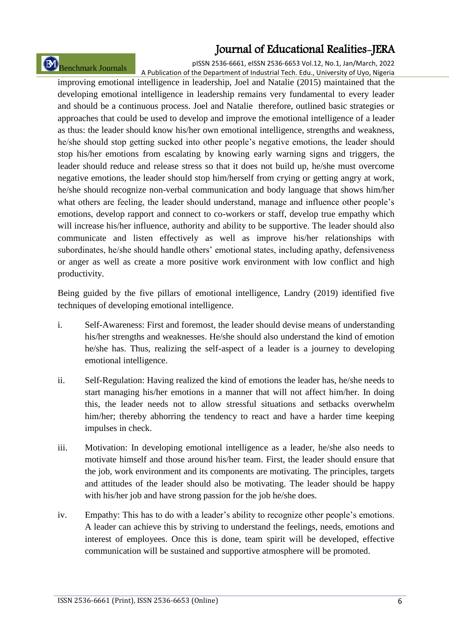# Benchmark Journals

pISSN 2536-6661, eISSN 2536-6653 Vol.12, No.1, Jan/March, 2022 A Publication of the Department of Industrial Tech. Edu., University of Uyo, Nigeria

improving emotional intelligence in leadership, Joel and Natalie (2015) maintained that the developing emotional intelligence in leadership remains very fundamental to every leader and should be a continuous process. Joel and Natalie therefore, outlined basic strategies or approaches that could be used to develop and improve the emotional intelligence of a leader as thus: the leader should know his/her own emotional intelligence, strengths and weakness, he/she should stop getting sucked into other people's negative emotions, the leader should stop his/her emotions from escalating by knowing early warning signs and triggers, the leader should reduce and release stress so that it does not build up, he/she must overcome negative emotions, the leader should stop him/herself from crying or getting angry at work, he/she should recognize non-verbal communication and body language that shows him/her what others are feeling, the leader should understand, manage and influence other people's emotions, develop rapport and connect to co-workers or staff, develop true empathy which will increase his/her influence, authority and ability to be supportive. The leader should also communicate and listen effectively as well as improve his/her relationships with subordinates, he/she should handle others' emotional states, including apathy, defensiveness or anger as well as create a more positive work environment with low conflict and high productivity.

Being guided by the five pillars of emotional intelligence, Landry (2019) identified five techniques of developing emotional intelligence.

- i. Self-Awareness: First and foremost, the leader should devise means of understanding his/her strengths and weaknesses. He/she should also understand the kind of emotion he/she has. Thus, realizing the self-aspect of a leader is a journey to developing emotional intelligence.
- ii. Self-Regulation: Having realized the kind of emotions the leader has, he/she needs to start managing his/her emotions in a manner that will not affect him/her. In doing this, the leader needs not to allow stressful situations and setbacks overwhelm him/her; thereby abhorring the tendency to react and have a harder time keeping impulses in check.
- iii. Motivation: In developing emotional intelligence as a leader, he/she also needs to motivate himself and those around his/her team. First, the leader should ensure that the job, work environment and its components are motivating. The principles, targets and attitudes of the leader should also be motivating. The leader should be happy with his/her job and have strong passion for the job he/she does.
- iv. Empathy: This has to do with a leader's ability to recognize other people's emotions. A leader can achieve this by striving to understand the feelings, needs, emotions and interest of employees. Once this is done, team spirit will be developed, effective communication will be sustained and supportive atmosphere will be promoted.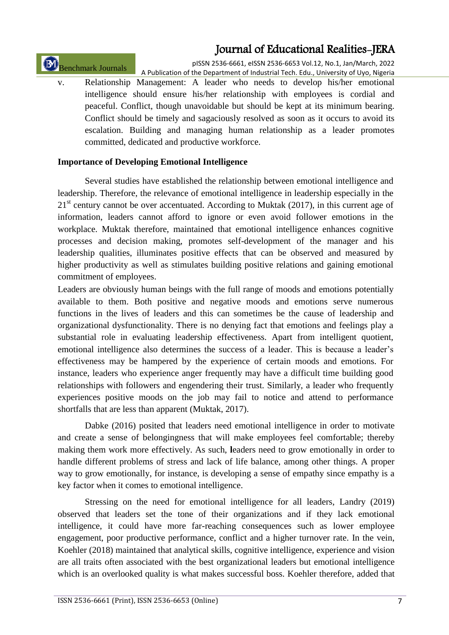Benchmark Journals

pISSN 2536-6661, eISSN 2536-6653 Vol.12, No.1, Jan/March, 2022 A Publication of the Department of Industrial Tech. Edu., University of Uyo, Nigeria

v. Relationship Management: A leader who needs to develop his/her emotional intelligence should ensure his/her relationship with employees is cordial and peaceful. Conflict, though unavoidable but should be kept at its minimum bearing. Conflict should be timely and sagaciously resolved as soon as it occurs to avoid its escalation. Building and managing human relationship as a leader promotes committed, dedicated and productive workforce.

### **Importance of Developing Emotional Intelligence**

Several studies have established the relationship between emotional intelligence and leadership. Therefore, the relevance of emotional intelligence in leadership especially in the  $21<sup>st</sup>$  century cannot be over accentuated. According to Muktak (2017), in this current age of information, leaders cannot afford to ignore or even avoid follower emotions in the workplace. Muktak therefore, maintained that emotional intelligence enhances cognitive processes and decision making, promotes self-development of the manager and his leadership qualities, illuminates positive effects that can be observed and measured by higher productivity as well as stimulates building positive relations and gaining emotional commitment of employees.

Leaders are obviously human beings with the full range of moods and emotions potentially available to them. Both positive and negative moods and emotions serve numerous functions in the lives of leaders and this can sometimes be the cause of leadership and organizational dysfunctionality. There is no denying fact that emotions and feelings play a substantial role in evaluating leadership effectiveness. Apart from intelligent quotient, emotional intelligence also determines the success of a leader. This is because a leader's effectiveness may be hampered by the experience of certain moods and emotions. For instance, leaders who experience anger frequently may have a difficult time building good relationships with followers and engendering their trust. Similarly, a leader who frequently experiences positive moods on the job may fail to notice and attend to performance shortfalls that are less than apparent (Muktak, 2017).

Dabke (2016) posited that leaders need emotional intelligence in order to motivate and create a sense of belongingness that will make employees feel comfortable; thereby making them work more effectively. As such, **l**eaders need to grow emotionally in order to handle different problems of stress and lack of life balance, among other things. A proper way to grow emotionally, for instance, is developing a sense of empathy since empathy is a key factor when it comes to emotional intelligence.

Stressing on the need for emotional intelligence for all leaders, Landry (2019) observed that leaders set the tone of their organizations and if they lack emotional intelligence, it could have more far-reaching consequences such as lower employee engagement, poor productive performance, conflict and a higher turnover rate. In the vein, Koehler (2018) maintained that analytical skills, cognitive intelligence, experience and vision are all traits often associated with the best organizational leaders but emotional intelligence which is an overlooked quality is what makes successful boss. Koehler therefore, added that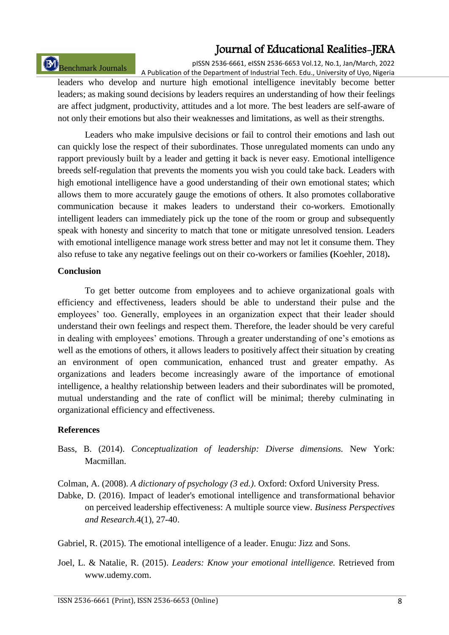# Benchmark Journals

pISSN 2536-6661, eISSN 2536-6653 Vol.12, No.1, Jan/March, 2022 A Publication of the Department of Industrial Tech. Edu., University of Uyo, Nigeria

leaders who develop and nurture high emotional intelligence inevitably become better leaders; as making sound decisions by leaders requires an understanding of how their feelings are affect judgment, productivity, attitudes and a lot more. The best leaders are self-aware of not only their emotions but also their weaknesses and limitations, as well as their strengths.

Leaders who make impulsive decisions or fail to control their emotions and lash out can quickly lose the respect of their subordinates. Those unregulated moments can undo any rapport previously built by a leader and getting it back is never easy. Emotional intelligence breeds self-regulation that prevents the moments you wish you could take back. Leaders with high emotional intelligence have a good understanding of their own emotional states; which allows them to more accurately gauge the emotions of others. It also promotes collaborative communication because it makes leaders to understand their co-workers. Emotionally intelligent leaders can immediately pick up the tone of the room or group and subsequently speak with honesty and sincerity to match that tone or mitigate unresolved tension. Leaders with emotional intelligence manage work stress better and may not let it consume them. They also refuse to take any negative feelings out on their co-workers or families **(**Koehler, 2018)**.**

#### **Conclusion**

To get better outcome from employees and to achieve organizational goals with efficiency and effectiveness, leaders should be able to understand their pulse and the employees' too. Generally, employees in an organization expect that their leader should understand their own feelings and respect them. Therefore, the leader should be very careful in dealing with employees' emotions. Through a greater understanding of one's emotions as well as the emotions of others, it allows leaders to positively affect their situation by creating an environment of open communication, enhanced trust and greater empathy. As organizations and leaders become increasingly aware of the importance of emotional intelligence, a healthy relationship between leaders and their subordinates will be promoted, mutual understanding and the rate of conflict will be minimal; thereby culminating in organizational efficiency and effectiveness.

#### **References**

- Bass, B. (2014). *Conceptualization of leadership: Diverse dimensions.* New York: Macmillan.
- Colman, A. (2008). *A dictionary of psychology (3 ed.)*. Oxford: Oxford University Press.
- Dabke, D. (2016). Impact of leader's emotional intelligence and transformational behavior on perceived leadership effectiveness: A multiple source view. *Business Perspectives and Research.*4(1), 27-40.

Gabriel, R. (2015). The emotional intelligence of a leader. Enugu: Jizz and Sons.

Joel, L. & Natalie, R. (2015). *Leaders: Know your emotional intelligence.* Retrieved from www.udemy.com.